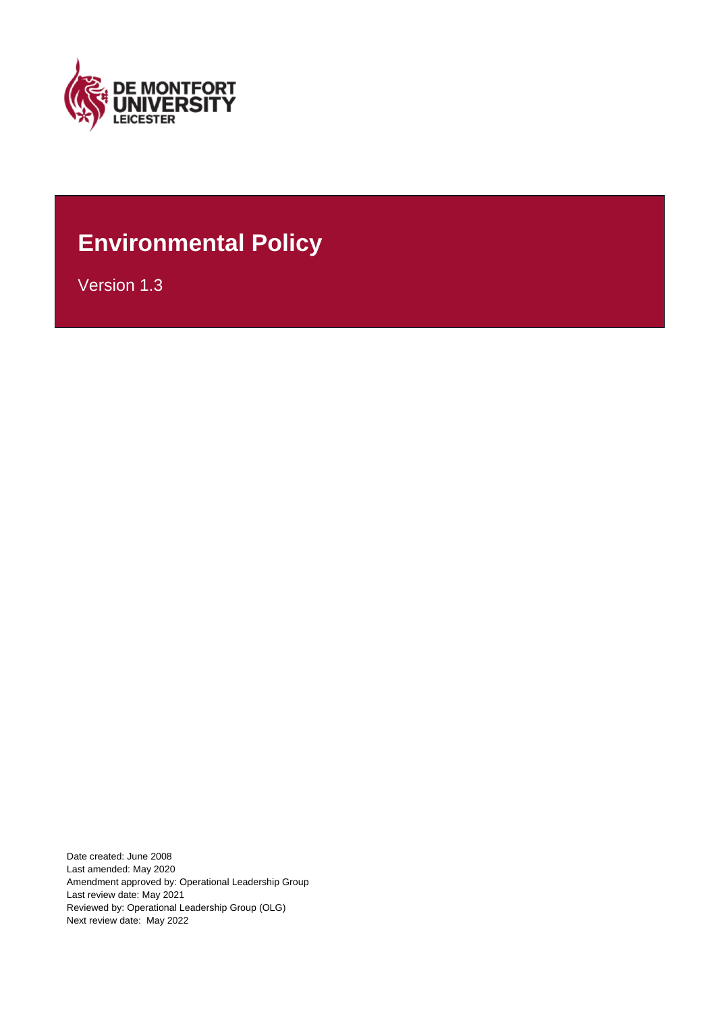

## **Environmental Policy**

Version 1.3

Date created: June 2008 Last amended: May 2020 Amendment approved by: Operational Leadership Group Last review date: May 2021 Reviewed by: Operational Leadership Group (OLG) Next review date: May 2022